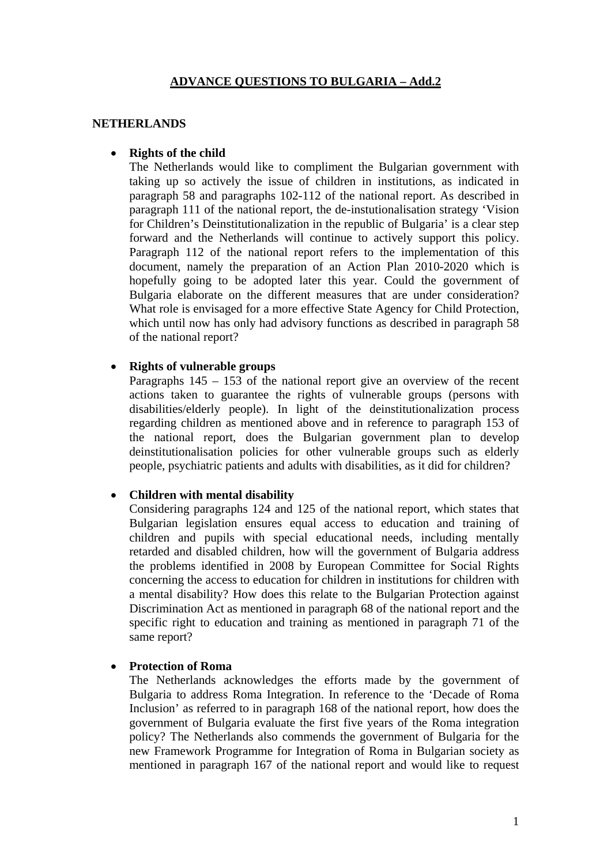## **ADVANCE QUESTIONS TO BULGARIA – Add.2**

### **NETHERLANDS**

## • **Rights of the child**

The Netherlands would like to compliment the Bulgarian government with taking up so actively the issue of children in institutions, as indicated in paragraph 58 and paragraphs 102-112 of the national report. As described in paragraph 111 of the national report, the de-instutionalisation strategy 'Vision for Children's Deinstitutionalization in the republic of Bulgaria' is a clear step forward and the Netherlands will continue to actively support this policy. Paragraph 112 of the national report refers to the implementation of this document, namely the preparation of an Action Plan 2010-2020 which is hopefully going to be adopted later this year. Could the government of Bulgaria elaborate on the different measures that are under consideration? What role is envisaged for a more effective State Agency for Child Protection, which until now has only had advisory functions as described in paragraph 58 of the national report?

### • **Rights of vulnerable groups**

Paragraphs  $145 - 153$  of the national report give an overview of the recent actions taken to guarantee the rights of vulnerable groups (persons with disabilities/elderly people). In light of the deinstitutionalization process regarding children as mentioned above and in reference to paragraph 153 of the national report, does the Bulgarian government plan to develop deinstitutionalisation policies for other vulnerable groups such as elderly people, psychiatric patients and adults with disabilities, as it did for children?

#### • **Children with mental disability**

Considering paragraphs 124 and 125 of the national report, which states that Bulgarian legislation ensures equal access to education and training of children and pupils with special educational needs, including mentally retarded and disabled children, how will the government of Bulgaria address the problems identified in 2008 by European Committee for Social Rights concerning the access to education for children in institutions for children with a mental disability? How does this relate to the Bulgarian Protection against Discrimination Act as mentioned in paragraph 68 of the national report and the specific right to education and training as mentioned in paragraph 71 of the same report?

#### • **Protection of Roma**

The Netherlands acknowledges the efforts made by the government of Bulgaria to address Roma Integration. In reference to the 'Decade of Roma Inclusion' as referred to in paragraph 168 of the national report, how does the government of Bulgaria evaluate the first five years of the Roma integration policy? The Netherlands also commends the government of Bulgaria for the new Framework Programme for Integration of Roma in Bulgarian society as mentioned in paragraph 167 of the national report and would like to request